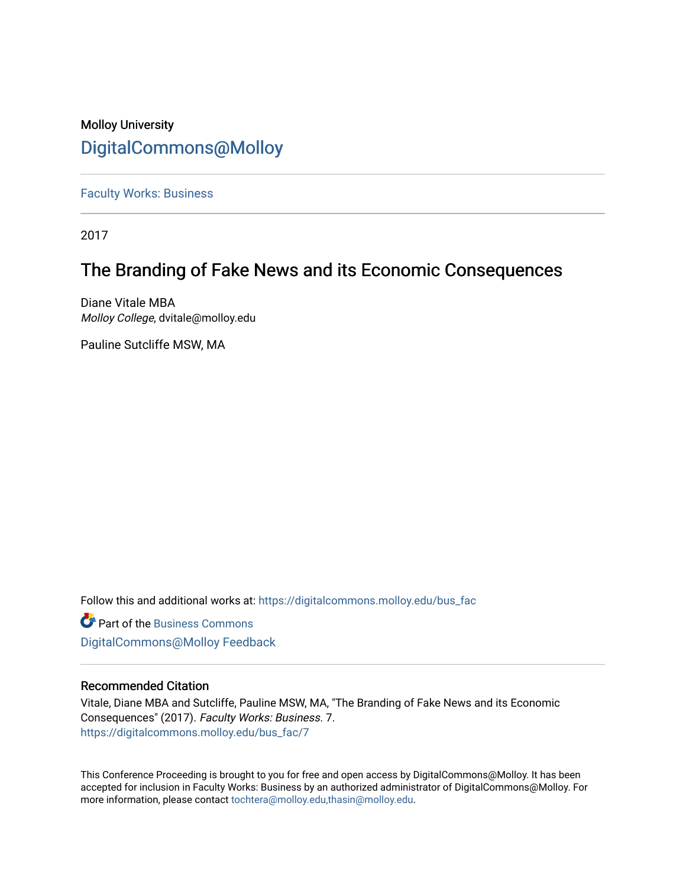# Molloy University [DigitalCommons@Molloy](https://digitalcommons.molloy.edu/)

[Faculty Works: Business](https://digitalcommons.molloy.edu/bus_fac) 

2017

# The Branding of Fake News and its Economic Consequences

Diane Vitale MBA Molloy College, dvitale@molloy.edu

Pauline Sutcliffe MSW, MA

Follow this and additional works at: [https://digitalcommons.molloy.edu/bus\\_fac](https://digitalcommons.molloy.edu/bus_fac?utm_source=digitalcommons.molloy.edu%2Fbus_fac%2F7&utm_medium=PDF&utm_campaign=PDFCoverPages)

**C** Part of the [Business Commons](https://network.bepress.com/hgg/discipline/622?utm_source=digitalcommons.molloy.edu%2Fbus_fac%2F7&utm_medium=PDF&utm_campaign=PDFCoverPages) [DigitalCommons@Molloy Feedback](https://molloy.libwizard.com/f/dcfeedback)

# Recommended Citation

Vitale, Diane MBA and Sutcliffe, Pauline MSW, MA, "The Branding of Fake News and its Economic Consequences" (2017). Faculty Works: Business. 7. [https://digitalcommons.molloy.edu/bus\\_fac/7](https://digitalcommons.molloy.edu/bus_fac/7?utm_source=digitalcommons.molloy.edu%2Fbus_fac%2F7&utm_medium=PDF&utm_campaign=PDFCoverPages)

This Conference Proceeding is brought to you for free and open access by DigitalCommons@Molloy. It has been accepted for inclusion in Faculty Works: Business by an authorized administrator of DigitalCommons@Molloy. For more information, please contact [tochtera@molloy.edu,thasin@molloy.edu.](mailto:tochtera@molloy.edu,thasin@molloy.edu)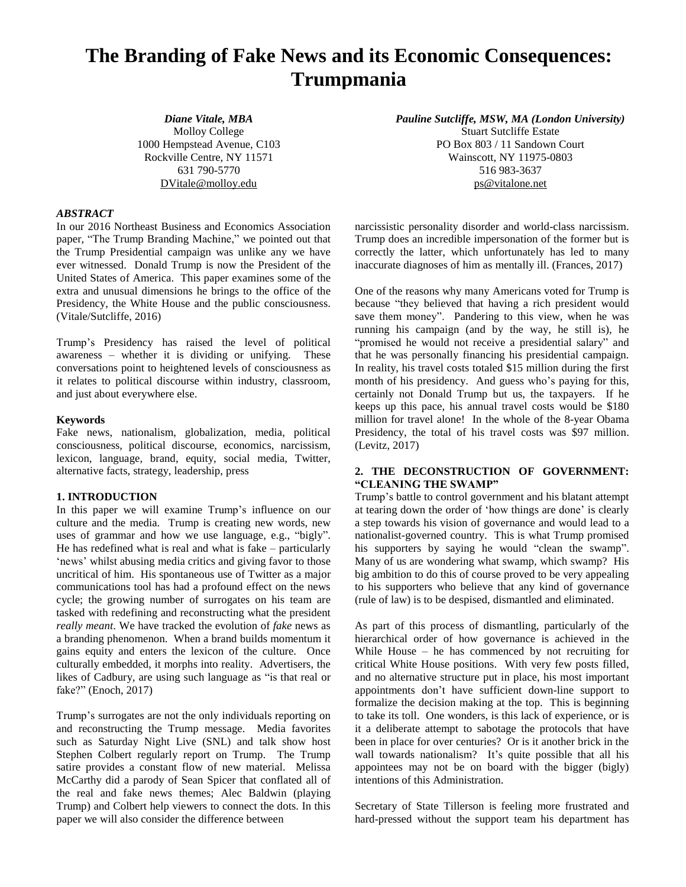# **The Branding of Fake News and its Economic Consequences: Trumpmania**

*Diane Vitale, MBA* Molloy College 1000 Hempstead Avenue, C103 Rockville Centre, NY 11571 631 790-5770 [DVitale@molloy.edu](mailto:DVitale@molloy.edu)

*Pauline Sutcliffe, MSW, MA (London University)* Stuart Sutcliffe Estate PO Box 803 / 11 Sandown Court Wainscott, NY 11975-0803 516 983-3637 [ps@vitalone.net](mailto:ps@vitalone.net)

#### *ABSTRACT*

In our 2016 Northeast Business and Economics Association paper, "The Trump Branding Machine," we pointed out that the Trump Presidential campaign was unlike any we have ever witnessed. Donald Trump is now the President of the United States of America. This paper examines some of the extra and unusual dimensions he brings to the office of the Presidency, the White House and the public consciousness. (Vitale/Sutcliffe, 2016)

Trump's Presidency has raised the level of political awareness – whether it is dividing or unifying. These conversations point to heightened levels of consciousness as it relates to political discourse within industry, classroom, and just about everywhere else.

#### **Keywords**

Fake news, nationalism, globalization, media, political consciousness, political discourse, economics, narcissism, lexicon, language, brand, equity, social media, Twitter, alternative facts, strategy, leadership, press

#### **1. INTRODUCTION**

In this paper we will examine Trump's influence on our culture and the media. Trump is creating new words, new uses of grammar and how we use language, e.g., "bigly". He has redefined what is real and what is fake – particularly 'news' whilst abusing media critics and giving favor to those uncritical of him. His spontaneous use of Twitter as a major communications tool has had a profound effect on the news cycle; the growing number of surrogates on his team are tasked with redefining and reconstructing what the president *really meant*. We have tracked the evolution of *fake* news as a branding phenomenon. When a brand builds momentum it gains equity and enters the lexicon of the culture. Once culturally embedded, it morphs into reality. Advertisers, the likes of Cadbury, are using such language as "is that real or fake?" (Enoch, 2017)

Trump's surrogates are not the only individuals reporting on and reconstructing the Trump message. Media favorites such as Saturday Night Live (SNL) and talk show host Stephen Colbert regularly report on Trump. The Trump satire provides a constant flow of new material. Melissa McCarthy did a parody of Sean Spicer that conflated all of the real and fake news themes; Alec Baldwin (playing Trump) and Colbert help viewers to connect the dots. In this paper we will also consider the difference between

narcissistic personality disorder and world-class narcissism. Trump does an incredible impersonation of the former but is correctly the latter, which unfortunately has led to many inaccurate diagnoses of him as mentally ill. (Frances, 2017)

One of the reasons why many Americans voted for Trump is because "they believed that having a rich president would save them money". Pandering to this view, when he was running his campaign (and by the way, he still is), he "promised he would not receive a presidential salary" and that he was personally financing his presidential campaign. In reality, his travel costs totaled \$15 million during the first month of his presidency. And guess who's paying for this, certainly not Donald Trump but us, the taxpayers. If he keeps up this pace, his annual travel costs would be \$180 million for travel alone! In the whole of the 8-year Obama Presidency, the total of his travel costs was \$97 million. (Levitz, 2017)

## **2. THE DECONSTRUCTION OF GOVERNMENT: "CLEANING THE SWAMP"**

Trump's battle to control government and his blatant attempt at tearing down the order of 'how things are done' is clearly a step towards his vision of governance and would lead to a nationalist-governed country. This is what Trump promised his supporters by saying he would "clean the swamp". Many of us are wondering what swamp, which swamp? His big ambition to do this of course proved to be very appealing to his supporters who believe that any kind of governance (rule of law) is to be despised, dismantled and eliminated.

As part of this process of dismantling, particularly of the hierarchical order of how governance is achieved in the While House – he has commenced by not recruiting for critical White House positions. With very few posts filled, and no alternative structure put in place, his most important appointments don't have sufficient down-line support to formalize the decision making at the top. This is beginning to take its toll. One wonders, is this lack of experience, or is it a deliberate attempt to sabotage the protocols that have been in place for over centuries? Or is it another brick in the wall towards nationalism? It's quite possible that all his appointees may not be on board with the bigger (bigly) intentions of this Administration.

Secretary of State Tillerson is feeling more frustrated and hard-pressed without the support team his department has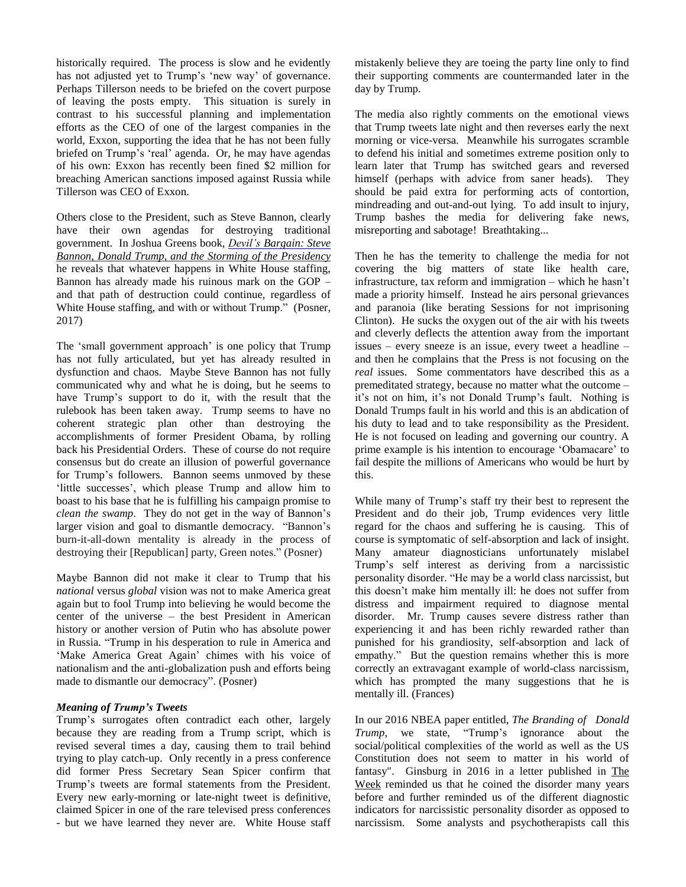historically required. The process is slow and he evidently has not adjusted yet to Trump's 'new way' of governance. Perhaps Tillerson needs to be briefed on the covert purpose of leaving the posts empty. This situation is surely in contrast to his successful planning and implementation efforts as the CEO of one of the largest companies in the world, Exxon, supporting the idea that he has not been fully briefed on Trump's 'real' agenda. Or, he may have agendas of his own: Exxon has recently been fined \$2 million for breaching American sanctions imposed against Russia while Tillerson was CEO of Exxon.

Others close to the President, such as Steve Bannon, clearly have their own agendas for destroying traditional government. In Joshua Greens book, *Devil's [Bargain:](https://www.amazon.com/Devils-Bargain-Bannon-Storming-Presidency/dp/0735225028/ref=tmm_hrd_swatch_0?_encoding=UTF8&qid=&sr=) Steve Bannon, Donald Trump, and the Storming of the [Presidency](https://www.amazon.com/Devils-Bargain-Bannon-Storming-Presidency/dp/0735225028/ref=tmm_hrd_swatch_0?_encoding=UTF8&qid=&sr=)* he reveals that whatever happens in White House staffing, Bannon has already made his ruinous mark on the GOP – and that path of destruction could continue, regardless of White House staffing, and with or without Trump." (Posner, 2017)

The 'small government approach' is one policy that Trump has not fully articulated, but yet has already resulted in dysfunction and chaos. Maybe Steve Bannon has not fully communicated why and what he is doing, but he seems to have Trump's support to do it, with the result that the rulebook has been taken away. Trump seems to have no coherent strategic plan other than destroying the accomplishments of former President Obama, by rolling back his Presidential Orders. These of course do not require consensus but do create an illusion of powerful governance for Trump's followers. Bannon seems unmoved by these 'little successes', which please Trump and allow him to boast to his base that he is fulfilling his campaign promise to *clean the swamp*. They do not get in the way of Bannon's larger vision and goal to dismantle democracy. "Bannon's burn-it-all-down mentality is already in the process of destroying their [Republican] party, Green notes." (Posner)

Maybe Bannon did not make it clear to Trump that his *national* versus *global* vision was not to make America great again but to fool Trump into believing he would become the center of the universe – the best President in American history or another version of Putin who has absolute power in Russia. "Trump in his desperation to rule in America and 'Make America Great Again' chimes with his voice of nationalism and the anti-globalization push and efforts being made to dismantle our democracy". (Posner)

#### *Meaning of Trump's Tweets*

Trump's surrogates often contradict each other, largely because they are reading from a Trump script, which is revised several times a day, causing them to trail behind trying to play catch-up. Only recently in a press conference did former Press Secretary Sean Spicer confirm that Trump's tweets are formal statements from the President. Every new early-morning or late-night tweet is definitive, claimed Spicer in one of the rare televised press conferences - but we have learned they never are. White House staff mistakenly believe they are toeing the party line only to find their supporting comments are countermanded later in the day by Trump.

The media also rightly comments on the emotional views that Trump tweets late night and then reverses early the next morning or vice-versa. Meanwhile his surrogates scramble to defend his initial and sometimes extreme position only to learn later that Trump has switched gears and reversed himself (perhaps with advice from saner heads). They should be paid extra for performing acts of contortion, mindreading and out-and-out lying. To add insult to injury, Trump bashes the media for delivering fake news, misreporting and sabotage! Breathtaking...

Then he has the temerity to challenge the media for not covering the big matters of state like health care, infrastructure, tax reform and immigration – which he hasn't made a priority himself. Instead he airs personal grievances and paranoia (like berating Sessions for not imprisoning Clinton). He sucks the oxygen out of the air with his tweets and cleverly deflects the attention away from the important issues – every sneeze is an issue, every tweet a headline – and then he complains that the Press is not focusing on the *real* issues. Some commentators have described this as a premeditated strategy, because no matter what the outcome – it's not on him, it's not Donald Trump's fault. Nothing is Donald Trumps fault in his world and this is an abdication of his duty to lead and to take responsibility as the President. He is not focused on leading and governing our country. A prime example is his intention to encourage 'Obamacare' to fail despite the millions of Americans who would be hurt by this.

While many of Trump's staff try their best to represent the President and do their job, Trump evidences very little regard for the chaos and suffering he is causing. This of course is symptomatic of self-absorption and lack of insight. Many amateur diagnosticians unfortunately mislabel Trump's self interest as deriving from a narcissistic personality disorder. "He may be a world class narcissist, but this doesn't make him mentally ill: he does not suffer from distress and impairment required to diagnose mental disorder. Mr. Trump causes severe distress rather than experiencing it and has been richly rewarded rather than punished for his grandiosity, self-absorption and lack of empathy." But the question remains whether this is more correctly an extravagant example of world-class narcissism, which has prompted the many suggestions that he is mentally ill. (Frances)

In our 2016 NBEA paper entitled, *The Branding of Donald Trump*, we state, "Trump's ignorance about the social/political complexities of the world as well as the US Constitution does not seem to matter in his world of fantasy". Ginsburg in 2016 in a letter published in The Week reminded us that he coined the disorder many years before and further reminded us of the different diagnostic indicators for narcissistic personality disorder as opposed to narcissism. Some analysts and psychotherapists call this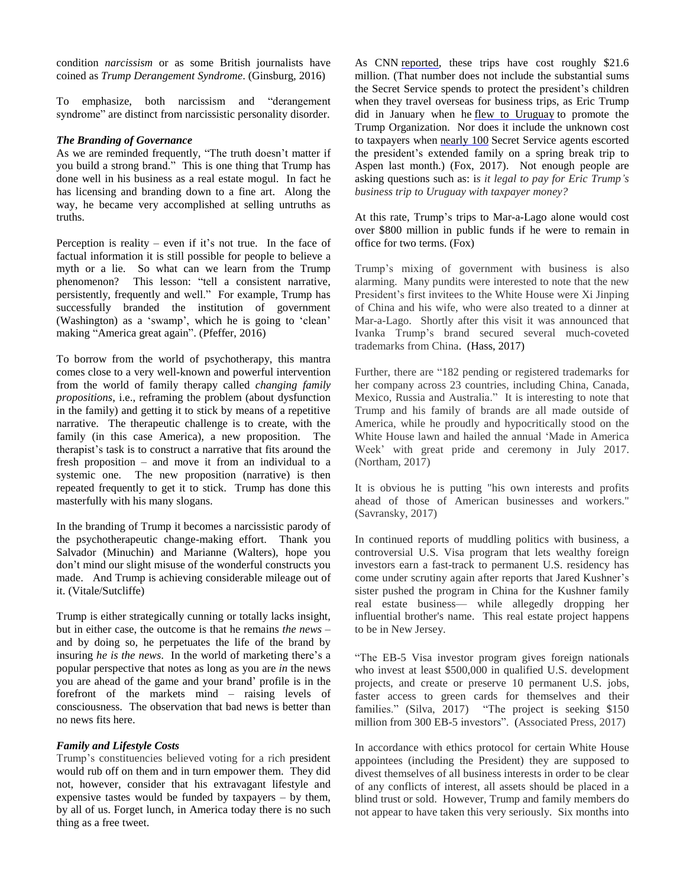condition *narcissism* or as some British journalists have coined as *Trump Derangement Syndrome*. (Ginsburg, 2016)

To emphasize, both narcissism and "derangement syndrome" are distinct from narcissistic personality disorder.

## *The Branding of Governance*

As we are reminded frequently, "The truth doesn't matter if you build a strong brand." This is one thing that Trump has done well in his business as a real estate mogul. In fact he has licensing and branding down to a fine art. Along the way, he became very accomplished at selling untruths as truths.

Perception is reality – even if it's not true. In the face of factual information it is still possible for people to believe a myth or a lie. So what can we learn from the Trump phenomenon? This lesson: "tell a consistent narrative, persistently, frequently and well." For example, Trump has successfully branded the institution of government (Washington) as a 'swamp', which he is going to 'clean' making "America great again". (Pfeffer, 2016)

To borrow from the world of psychotherapy, this mantra comes close to a very well-known and powerful intervention from the world of family therapy called *changing family propositions*, i.e., reframing the problem (about dysfunction in the family) and getting it to stick by means of a repetitive narrative. The therapeutic challenge is to create, with the family (in this case America), a new proposition. The therapist's task is to construct a narrative that fits around the fresh proposition – and move it from an individual to a systemic one. The new proposition (narrative) is then repeated frequently to get it to stick. Trump has done this masterfully with his many slogans.

In the branding of Trump it becomes a narcissistic parody of the psychotherapeutic change-making effort. Thank you Salvador (Minuchin) and Marianne (Walters), hope you don't mind our slight misuse of the wonderful constructs you made. And Trump is achieving considerable mileage out of it. (Vitale/Sutcliffe)

Trump is either strategically cunning or totally lacks insight, but in either case, the outcome is that he remains *the news* – and by doing so, he perpetuates the life of the brand by insuring *he is the news*. In the world of marketing there's a popular perspective that notes as long as you are *in* the news you are ahead of the game and your brand' profile is in the forefront of the markets mind – raising levels of consciousness. The observation that bad news is better than no news fits here.

# *Family and Lifestyle Costs*

Trump's constituencies believed voting for a rich president would rub off on them and in turn empower them. They did not, however, consider that his extravagant lifestyle and expensive tastes would be funded by taxpayers – by them, by all of us. Forget lunch, in America today there is no such thing as a free tweet.

As CNN [reported,](http://www.cnn.com/2017/04/10/politics/donald-trump-obama-travel-costs/) these trips have cost roughly \$21.6 million. (That number does not include the substantial sums the Secret Service spends to protect the president's children when they travel overseas for business trips, as Eric Trump did in January when he flew to [Uruguay](https://www.washingtonpost.com/business/economy/eric-trumps-trip-to-uruguay-cost-taxpayers-97830-in-hotel-bills/2017/02/03/ababd64e-e95c-11e6-bf6f-301b6b443624_story.html?utm_term=.84bf8dd2fbe2) to promote the Trump Organization. Nor does it include the unknown cost to taxpayers when [nearly](http://www.vanityfair.com/news/2017/03/trump-kids-spring-break-aspen) 100 Secret Service agents escorted the president's extended family on a spring break trip to Aspen last month.) (Fox, 2017). Not enough people are asking questions such as: i*s it legal to pay for Eric Trump's business trip to Uruguay with taxpayer money?*

At this rate, Trump's trips to Mar-a-Lago alone would cost over \$800 million in public funds if he were to remain in office for two terms. (Fox)

Trump's mixing of government with business is also alarming. Many pundits were interested to note that the new President's first invitees to the White House were Xi Jinping of China and his wife, who were also treated to a dinner at Mar-a-Lago. Shortly after this visit it was announced that Ivanka Trump's brand secured several much-coveted trademarks from China. (Hass, 2017)

Further, there are "182 pending or registered trademarks for her company across 23 countries, including China, Canada, Mexico, Russia and Australia." It is interesting to note that Trump and his family of brands are all made outside of America, while he proudly and hypocritically stood on the White House lawn and hailed the annual 'Made in America Week' with great pride and ceremony in July 2017. (Northam, 2017)

It is obvious he is putting "his own interests and profits ahead of those of American businesses and workers." (Savransky, 2017)

In continued reports of muddling politics with business, a controversial U.S. Visa program that lets wealthy foreign investors earn a fast-track to permanent U.S. residency has come under scrutiny again after reports that Jared Kushner's sister pushed the program in China for the Kushner family real estate business— while allegedly dropping her influential brother's name. This real estate project happens to be in New Jersey.

"The EB-5 Visa investor program gives foreign nationals who invest at least \$500,000 in qualified U.S. development projects, and create or preserve 10 permanent U.S. jobs, faster access to green cards for themselves and their families." (Silva, 2017) "The project is seeking \$150 million from 300 EB-5 investors". (Associated Press, 2017)

In accordance with ethics protocol for certain White House appointees (including the President) they are supposed to divest themselves of all business interests in order to be clear of any conflicts of interest, all assets should be placed in a blind trust or sold. However, Trump and family members do not appear to have taken this very seriously. Six months into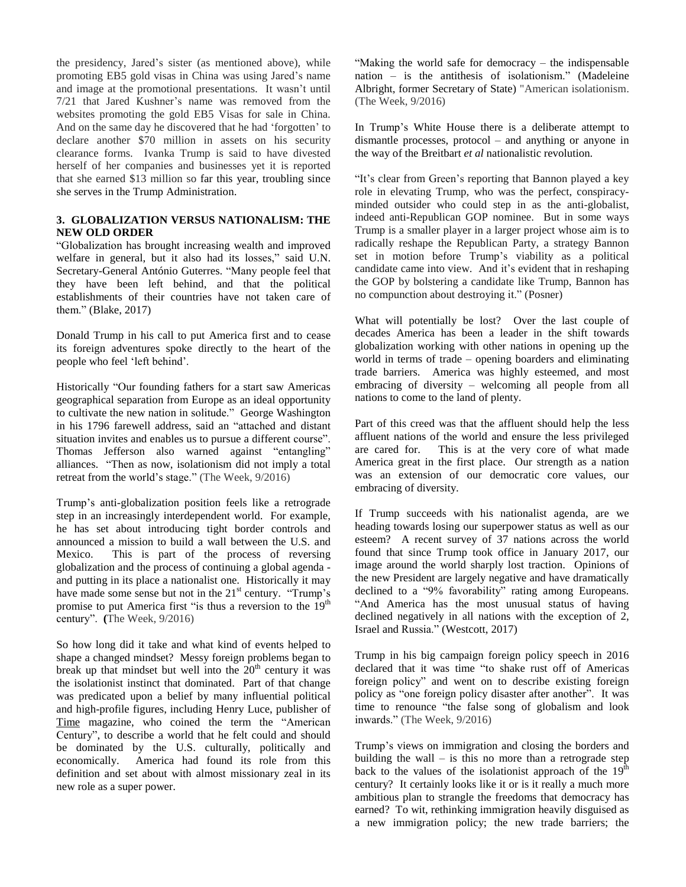the presidency, Jared's sister (as mentioned above), while promoting EB5 gold visas in China was using Jared's name and image at the promotional presentations. It wasn't until 7/21 that Jared Kushner's name was removed from the websites promoting the gold EB5 Visas for sale in China. And on the same day he discovered that he had 'forgotten' to declare another \$70 million in assets on his security clearance forms. Ivanka Trump is said to have divested herself of her companies and businesses yet it is reported that she earned \$13 million so far this year, troubling since she serves in the Trump Administration.

## **3. GLOBALIZATION VERSUS NATIONALISM: THE NEW OLD ORDER**

"Globalization has brought increasing wealth and improved welfare in general, but it also had its losses," said U.N. Secretary-General António Guterres. "Many people feel that they have been left behind, and that the political establishments of their countries have not taken care of them." (Blake, 2017)

Donald Trump in his call to put America first and to cease its foreign adventures spoke directly to the heart of the people who feel 'left behind'.

Historically "Our founding fathers for a start saw Americas geographical separation from Europe as an ideal opportunity to cultivate the new nation in solitude." George Washington in his 1796 farewell address, said an "attached and distant situation invites and enables us to pursue a different course". Thomas Jefferson also warned against "entangling" alliances. "Then as now, isolationism did not imply a total retreat from the world's stage." (The Week, 9/2016)

Trump's anti-globalization position feels like a retrograde step in an increasingly interdependent world. For example, he has set about introducing tight border controls and announced a mission to build a wall between the U.S. and Mexico. This is part of the process of reversing globalization and the process of continuing a global agenda and putting in its place a nationalist one. Historically it may have made some sense but not in the 21<sup>st</sup> century. "Trump's promise to put America first "is thus a reversion to the  $19<sup>th</sup>$ century". **(**The Week, 9/2016)

So how long did it take and what kind of events helped to shape a changed mindset? Messy foreign problems began to break up that mindset but well into the  $20<sup>th</sup>$  century it was the isolationist instinct that dominated. Part of that change was predicated upon a belief by many influential political and high-profile figures, including Henry Luce, publisher of Time magazine, who coined the term the "American Century", to describe a world that he felt could and should be dominated by the U.S. culturally, politically and economically. America had found its role from this definition and set about with almost missionary zeal in its new role as a super power.

"Making the world safe for democracy – the indispensable nation – is the antithesis of isolationism." (Madeleine Albright, former Secretary of State) "American isolationism. (The Week, 9/2016)

In Trump's White House there is a deliberate attempt to dismantle processes, protocol – and anything or anyone in the way of the Breitbart *et al* nationalistic revolution.

"It's clear from Green's reporting that Bannon played a key role in elevating Trump, who was the perfect, conspiracyminded outsider who could step in as the anti-globalist, indeed anti-Republican GOP nominee. But in some ways Trump is a smaller player in a larger project whose aim is to radically reshape the Republican Party, a strategy Bannon set in motion before Trump's viability as a political candidate came into view. And it's evident that in reshaping the GOP by bolstering a candidate like Trump, Bannon has no compunction about destroying it." (Posner)

What will potentially be lost? Over the last couple of decades America has been a leader in the shift towards globalization working with other nations in opening up the world in terms of trade – opening boarders and eliminating trade barriers. America was highly esteemed, and most embracing of diversity – welcoming all people from all nations to come to the land of plenty.

Part of this creed was that the affluent should help the less affluent nations of the world and ensure the less privileged are cared for. This is at the very core of what made America great in the first place. Our strength as a nation was an extension of our democratic core values, our embracing of diversity.

If Trump succeeds with his nationalist agenda, are we heading towards losing our superpower status as well as our esteem? A recent survey of 37 nations across the world found that since Trump took office in January 2017, our image around the world sharply lost traction. Opinions of the new President are largely negative and have dramatically declined to a "9% favorability" rating among Europeans. "And America has the most unusual status of having declined negatively in all nations with the exception of 2, Israel and Russia." (Westcott, 2017)

Trump in his big campaign foreign policy speech in 2016 declared that it was time "to shake rust off of Americas foreign policy" and went on to describe existing foreign policy as "one foreign policy disaster after another". It was time to renounce "the false song of globalism and look inwards." (The Week, 9/2016)

Trump's views on immigration and closing the borders and building the wall  $-$  is this no more than a retrograde step back to the values of the isolationist approach of the  $19<sup>th</sup>$ century? It certainly looks like it or is it really a much more ambitious plan to strangle the freedoms that democracy has earned? To wit, rethinking immigration heavily disguised as a new immigration policy; the new trade barriers; the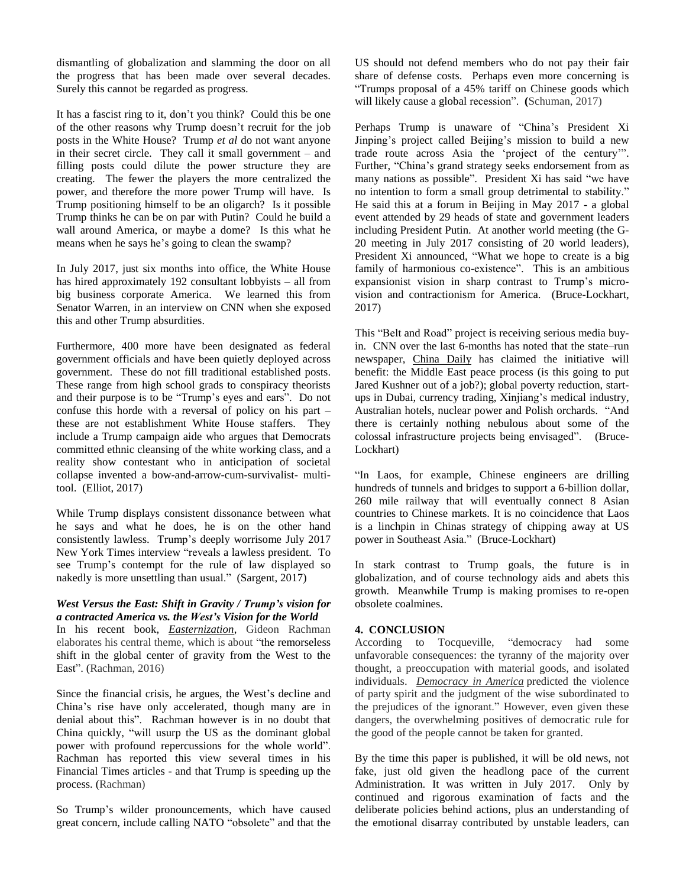dismantling of globalization and slamming the door on all the progress that has been made over several decades. Surely this cannot be regarded as progress.

It has a fascist ring to it, don't you think? Could this be one of the other reasons why Trump doesn't recruit for the job posts in the White House? Trump *et al* do not want anyone in their secret circle. They call it small government – and filling posts could dilute the power structure they are creating. The fewer the players the more centralized the power, and therefore the more power Trump will have. Is Trump positioning himself to be an oligarch? Is it possible Trump thinks he can be on par with Putin? Could he build a wall around America, or maybe a dome? Is this what he means when he says he's going to clean the swamp?

In July 2017, just six months into office, the White House has hired approximately 192 consultant lobbyists – all from big business corporate America. We learned this from Senator Warren, in an interview on CNN when she exposed this and other Trump absurdities.

Furthermore, 400 more have been designated as federal government officials and have been quietly deployed across government. These do not fill traditional established posts. These range from high school grads to conspiracy theorists and their purpose is to be "Trump's eyes and ears". Do not confuse this horde with a reversal of policy on his part – these are not establishment White House staffers. They include a Trump campaign aide who argues that Democrats committed ethnic cleansing of the white working class, and a reality show contestant who in anticipation of societal collapse invented a bow-and-arrow-cum-survivalist- multitool. (Elliot, 2017)

While Trump displays consistent dissonance between what he says and what he does, he is on the other hand consistently lawless. Trump's deeply worrisome July 2017 New York Times interview "reveals a lawless president. To see Trump's contempt for the rule of law displayed so nakedly is more unsettling than usual." (Sargent, 2017)

### *West Versus the East: Shift in Gravity / Trump's vision for a contracted America vs. the West's Vision for the World*

In his recent book, *Easternization*, Gideon Rachman elaborates his central theme, which is about "the remorseless shift in the global center of gravity from the West to the East". (Rachman, 2016)

Since the financial crisis, he argues, the West's decline and China's rise have only accelerated, though many are in denial about this". Rachman however is in no doubt that China quickly, "will usurp the US as the dominant global power with profound repercussions for the whole world". Rachman has reported this view several times in his Financial Times articles - and that Trump is speeding up the process. (Rachman)

So Trump's wilder pronouncements, which have caused great concern, include calling NATO "obsolete" and that the

US should not defend members who do not pay their fair share of defense costs. Perhaps even more concerning is "Trumps proposal of a 45% tariff on Chinese goods which will likely cause a global recession". **(**Schuman, 2017)

Perhaps Trump is unaware of "China's President Xi Jinping's project called Beijing's mission to build a new trade route across Asia the 'project of the century'". Further, "China's grand strategy seeks endorsement from as many nations as possible". President Xi has said "we have no intention to form a small group detrimental to stability." He said this at a forum in Beijing in May 2017 - a global event attended by 29 heads of state and government leaders including President Putin. At another world meeting (the G-20 meeting in July 2017 consisting of 20 world leaders), President Xi announced, "What we hope to create is a big family of harmonious co-existence". This is an ambitious expansionist vision in sharp contrast to Trump's microvision and contractionism for America. (Bruce-Lockhart, 2017)

This "Belt and Road" project is receiving serious media buyin. CNN over the last 6-months has noted that the state–run newspaper, China Daily has claimed the initiative will benefit: the Middle East peace process (is this going to put Jared Kushner out of a job?); global poverty reduction, startups in Dubai, currency trading, Xinjiang's medical industry, Australian hotels, nuclear power and Polish orchards. "And there is certainly nothing nebulous about some of the colossal infrastructure projects being envisaged". (Bruce-Lockhart)

"In Laos, for example, Chinese engineers are drilling hundreds of tunnels and bridges to support a 6-billion dollar, 260 mile railway that will eventually connect 8 Asian countries to Chinese markets. It is no coincidence that Laos is a linchpin in Chinas strategy of chipping away at US power in Southeast Asia." (Bruce-Lockhart)

In stark contrast to Trump goals, the future is in globalization, and of course technology aids and abets this growth. Meanwhile Trump is making promises to re-open obsolete coalmines.

# **4. CONCLUSION**

According to Tocqueville, "democracy had some unfavorable consequences: the tyranny of the majority over thought, a preoccupation with material goods, and isolated individuals. *Democracy in America* predicted the violence of party spirit and the judgment of the wise subordinated to the prejudices of the ignorant." However, even given these dangers, the overwhelming positives of democratic rule for the good of the people cannot be taken for granted.

By the time this paper is published, it will be old news, not fake, just old given the headlong pace of the current Administration. It was written in July 2017. Only by continued and rigorous examination of facts and the deliberate policies behind actions, plus an understanding of the emotional disarray contributed by unstable leaders, can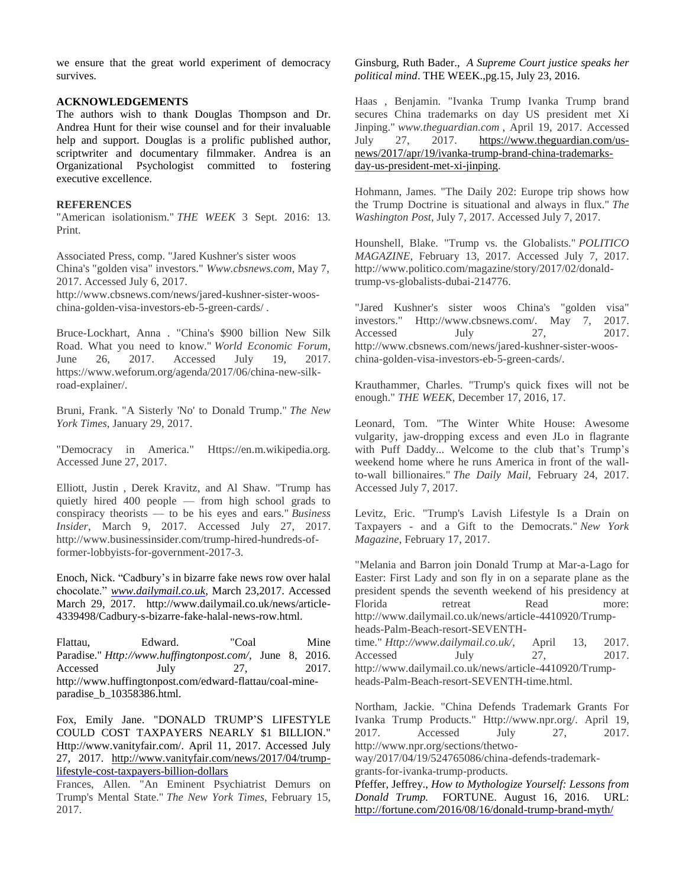we ensure that the great world experiment of democracy survives.

#### **ACKNOWLEDGEMENTS**

The authors wish to thank Douglas Thompson and Dr. Andrea Hunt for their wise counsel and for their invaluable help and support. Douglas is a prolific published author, scriptwriter and documentary filmmaker. Andrea is an Organizational Psychologist committed to fostering executive excellence.

#### **REFERENCES**

"American isolationism." *THE WEEK* 3 Sept. 2016: 13. Print.

Associated Press, comp. "Jared Kushner's sister woos China's "golden visa" investors." *Www.cbsnews.com*, May 7, 2017. Accessed July 6, 2017.

http://www.cbsnews.com/news/jared-kushner-sister-wooschina-golden-visa-investors-eb-5-green-cards/ .

Bruce-Lockhart, Anna . "China's \$900 billion New Silk Road. What you need to know." *World Economic Forum*, June 26, 2017. Accessed July 19, 2017. https://www.weforum.org/agenda/2017/06/china-new-silkroad-explainer/.

Bruni, Frank. "A Sisterly 'No' to Donald Trump." *The New York Times*, January 29, 2017.

"Democracy in America." Https://en.m.wikipedia.org. Accessed June 27, 2017.

Elliott, Justin , Derek Kravitz, and Al Shaw. "Trump has quietly hired 400 people — from high school grads to conspiracy theorists — to be his eyes and ears." *Business Insider*, March 9, 2017. Accessed July 27, 2017. http://www.businessinsider.com/trump-hired-hundreds-offormer-lobbyists-for-government-2017-3.

Enoch, Nick. "Cadbury's in bizarre fake news row over halal chocolate." *[www.dailymail.co.uk,](http://www.dailymail.co.uk/)* March 23,2017. Accessed March 29, 2017. http://www.dailymail.co.uk/news/article-4339498/Cadbury-s-bizarre-fake-halal-news-row.html.

Flattau, Edward. "Coal Mine Paradise." *Http://www.huffingtonpost.com/*, June 8, 2016. Accessed July 27, 2017. http://www.huffingtonpost.com/edward-flattau/coal-mineparadise\_b\_10358386.html.

Fox, Emily Jane. "DONALD TRUMP'S LIFESTYLE COULD COST TAXPAYERS NEARLY \$1 BILLION." Http://www.vanityfair.com/. April 11, 2017. Accessed July 27, 2017. [http://www.vanityfair.com/news/2017/04/trump](http://www.vanityfair.com/news/2017/04/trump-lifestyle-cost-taxpayers-billion-dollars)[lifestyle-cost-taxpayers-billion-dollars](http://www.vanityfair.com/news/2017/04/trump-lifestyle-cost-taxpayers-billion-dollars) 

Frances, Allen. "An Eminent Psychiatrist Demurs on Trump's Mental State." *The New York Times*, February 15, 2017.

Ginsburg, Ruth Bader., *A Supreme Court justice speaks her political mind*. THE WEEK.,pg.15, July 23, 2016.

Haas , Benjamin. "Ivanka Trump Ivanka Trump brand secures China trademarks on day US president met Xi Jinping." *www.theguardian.com* , April 19, 2017. Accessed July 27, 2017. [https://www.theguardian.com/us](https://www.theguardian.com/us-news/2017/apr/19/ivanka-trump-brand-china-trademarks-day-us-president-met-xi-jinping)[news/2017/apr/19/ivanka-trump-brand-china-trademarks](https://www.theguardian.com/us-news/2017/apr/19/ivanka-trump-brand-china-trademarks-day-us-president-met-xi-jinping)[day-us-president-met-xi-jinping.](https://www.theguardian.com/us-news/2017/apr/19/ivanka-trump-brand-china-trademarks-day-us-president-met-xi-jinping)

Hohmann, James. "The Daily 202: Europe trip shows how the Trump Doctrine is situational and always in flux." *The Washington Post*, July 7, 2017. Accessed July 7, 2017.

Hounshell, Blake. "Trump vs. the Globalists." *POLITICO MAGAZINE*, February 13, 2017. Accessed July 7, 2017. http://www.politico.com/magazine/story/2017/02/donaldtrump-vs-globalists-dubai-214776.

"Jared Kushner's sister woos China's "golden visa" investors." Http://www.cbsnews.com/. May 7, 2017. Accessed July 27, 2017. http://www.cbsnews.com/news/jared-kushner-sister-wooschina-golden-visa-investors-eb-5-green-cards/.

Krauthammer, Charles. "Trump's quick fixes will not be enough." *THE WEEK*, December 17, 2016, 17.

Leonard, Tom. "The Winter White House: Awesome vulgarity, jaw-dropping excess and even JLo in flagrante with Puff Daddy... Welcome to the club that's Trump's weekend home where he runs America in front of the wallto-wall billionaires." *The Daily Mail*, February 24, 2017. Accessed July 7, 2017.

Levitz, Eric. "Trump's Lavish Lifestyle Is a Drain on Taxpayers - and a Gift to the Democrats." *New York Magazine*, February 17, 2017.

"Melania and Barron join Donald Trump at Mar-a-Lago for Easter: First Lady and son fly in on a separate plane as the president spends the seventh weekend of his presidency at Florida retreat Read more: http://www.dailymail.co.uk/news/article-4410920/Trumpheads-Palm-Beach-resort-SEVENTHtime." *Http://www.dailymail.co.uk/*, April 13, 2017. Accessed July 27, 2017.

http://www.dailymail.co.uk/news/article-4410920/Trumpheads-Palm-Beach-resort-SEVENTH-time.html.

Northam, Jackie. "China Defends Trademark Grants For Ivanka Trump Products." Http://www.npr.org/. April 19, 2017. Accessed July 27, 2017. http://www.npr.org/sections/thetwo-

way/2017/04/19/524765086/china-defends-trademarkgrants-for-ivanka-trump-products.

Pfeffer, Jeffrey., *How to Mythologize Yourself: Lessons from Donald Trump.* FORTUNE. August 16, 2016. URL: <http://fortune.com/2016/08/16/donald-trump-brand-myth/>